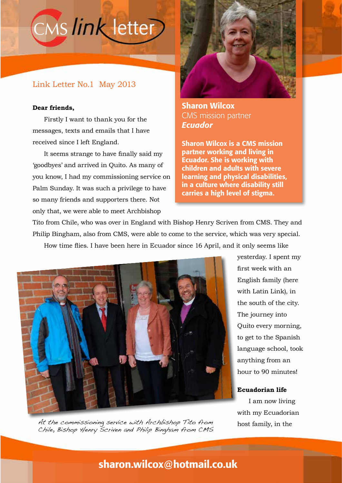# CMS link letter

### Link Letter No.1 May 2013

#### **Dear friends,**

Firstly I want to thank you for the messages, texts and emails that I have received since I left England.

It seems strange to have finally said my 'goodbyes' and arrived in Quito. As many of you know, I had my commissioning service on Palm Sunday. It was such a privilege to have so many friends and supporters there. Not only that, we were able to meet Archbishop



Sharon Wilcox CMS mission partner *Ecuador*

Sharon Wilcox is a CMS mission partner working and living in Ecuador. She is working with children and adults with severe learning and physical disabilities, in a culture where disability still carries a high level of stigma.

Tito from Chile, who was over in England with Bishop Henry Scriven from CMS. They and Philip Bingham, also from CMS, were able to come to the service, which was very special. How time flies. I have been here in Ecuador since 16 April, and it only seems like



yesterday. I spent my first week with an English family (here with Latin Link), in the south of the city. The journey into Quito every morning, to get to the Spanish language school, took anything from an hour to 90 minutes!

#### **Ecuadorian life**

I am now living with my Ecuadorian

At the commissioning service with Archbishop Tito from host family, in the<br>Chile, Bishop Henry Scriven and Philip Bingham from CMS

## sharon.wilcox@hotmail.co.uk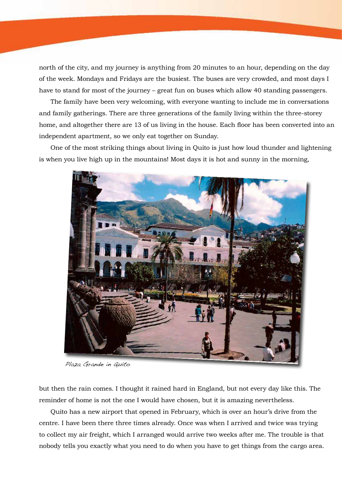north of the city, and my journey is anything from 20 minutes to an hour, depending on the day of the week. Mondays and Fridays are the busiest. The buses are very crowded, and most days I have to stand for most of the journey – great fun on buses which allow 40 standing passengers.

The family have been very welcoming, with everyone wanting to include me in conversations and family gatherings. There are three generations of the family living within the three-storey home, and altogether there are 13 of us living in the house. Each floor has been converted into an independent apartment, so we only eat together on Sunday.

One of the most striking things about living in Quito is just how loud thunder and lightening is when you live high up in the mountains! Most days it is hot and sunny in the morning,



Plaza Grande in Quito

but then the rain comes. I thought it rained hard in England, but not every day like this. The reminder of home is not the one I would have chosen, but it is amazing nevertheless.

Quito has a new airport that opened in February, which is over an hour's drive from the centre. I have been there three times already. Once was when I arrived and twice was trying to collect my air freight, which I arranged would arrive two weeks after me. The trouble is that nobody tells you exactly what you need to do when you have to get things from the cargo area.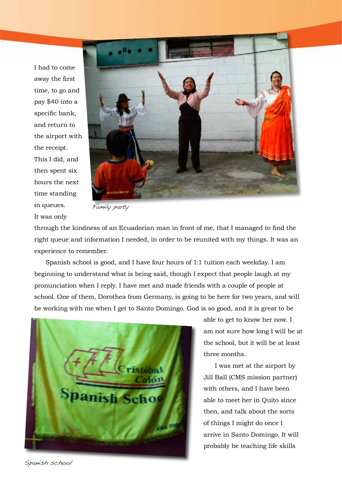I had to come away the first time, to go and pay \$40 into a specific bank, and return to the airport with the receipt. This I did, and then spent six hours the next time standing in queues. It was only



Family party

through the kindness of an Ecuadorian man in front of me, that I managed to find the right queue and information I needed, in order to be reunited with my things. It was an experience to remember.

Spanish school is good, and I have four hours of 1:1 tuition each weekday. I am beginning to understand what is being said, though I expect that people laugh at my pronunciation when I reply. I have met and made friends with a couple of people at school. One of them, Dorothea from Germany, is going to be here for two years, and will be working with me when I get to Santo Domingo. God is so good, and it is great to be



able to get to know her now. I am not sure how long I will be at the school, but it will be at least three months.

I was met at the airport by Jill Ball (CMS mission partner) with others, and I have been able to meet her in Quito since then, and talk about the sorts of things I might do once I arrive in Santo Domingo. It will probably be teaching life skills

Spanish school